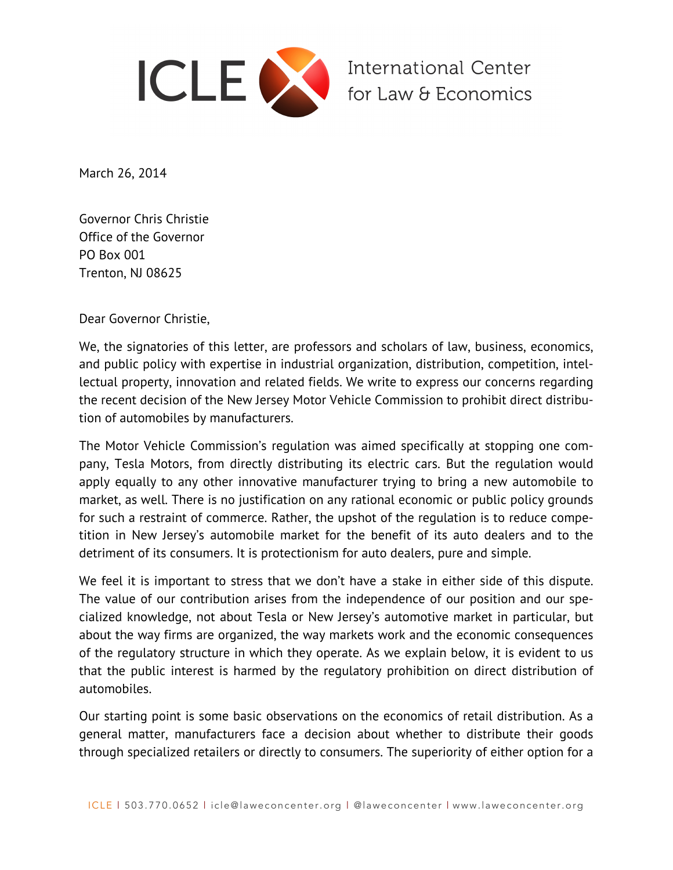

March 26, 2014

Governor Chris Christie Office of the Governor PO Box 001 Trenton, NJ 08625

Dear Governor Christie,

We, the signatories of this letter, are professors and scholars of law, business, economics, and public policy with expertise in industrial organization, distribution, competition, intellectual property, innovation and related fields. We write to express our concerns regarding the recent decision of the New Jersey Motor Vehicle Commission to prohibit direct distribution of automobiles by manufacturers.

The Motor Vehicle Commission's regulation was aimed specifically at stopping one company, Tesla Motors, from directly distributing its electric cars. But the regulation would apply equally to any other innovative manufacturer trying to bring a new automobile to market, as well. There is no justification on any rational economic or public policy grounds for such a restraint of commerce. Rather, the upshot of the regulation is to reduce competition in New Jersey's automobile market for the benefit of its auto dealers and to the detriment of its consumers. It is protectionism for auto dealers, pure and simple.

We feel it is important to stress that we don't have a stake in either side of this dispute. The value of our contribution arises from the independence of our position and our specialized knowledge, not about Tesla or New Jersey's automotive market in particular, but about the way firms are organized, the way markets work and the economic consequences of the regulatory structure in which they operate. As we explain below, it is evident to us that the public interest is harmed by the regulatory prohibition on direct distribution of automobiles.

Our starting point is some basic observations on the economics of retail distribution. As a general matter, manufacturers face a decision about whether to distribute their goods through specialized retailers or directly to consumers. The superiority of either option for a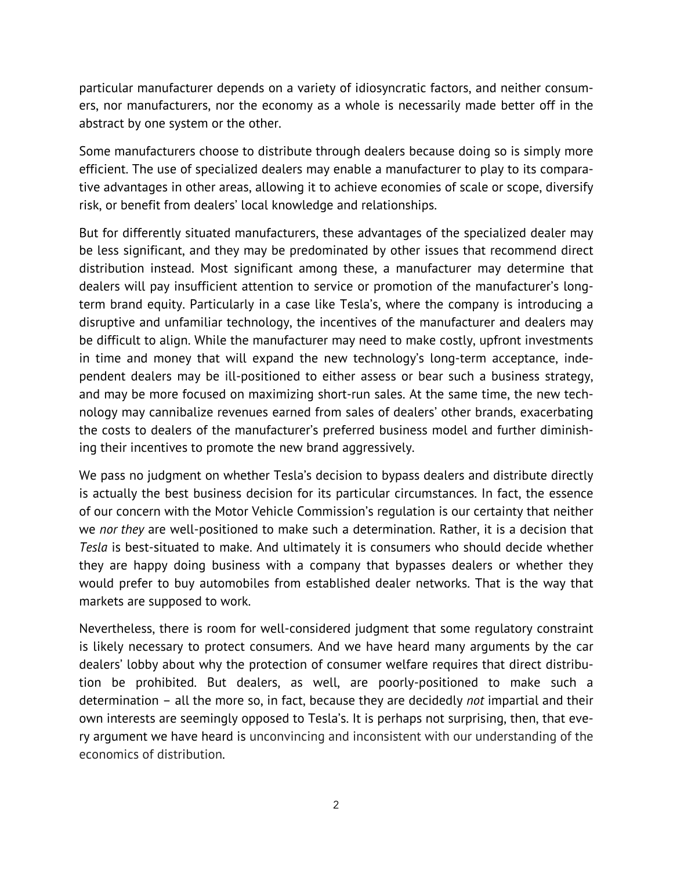particular manufacturer depends on a variety of idiosyncratic factors, and neither consumers, nor manufacturers, nor the economy as a whole is necessarily made better off in the abstract by one system or the other.

Some manufacturers choose to distribute through dealers because doing so is simply more efficient. The use of specialized dealers may enable a manufacturer to play to its comparative advantages in other areas, allowing it to achieve economies of scale or scope, diversify risk, or benefit from dealers' local knowledge and relationships.

But for differently situated manufacturers, these advantages of the specialized dealer may be less significant, and they may be predominated by other issues that recommend direct distribution instead. Most significant among these, a manufacturer may determine that dealers will pay insufficient attention to service or promotion of the manufacturer's longterm brand equity. Particularly in a case like Tesla's, where the company is introducing a disruptive and unfamiliar technology, the incentives of the manufacturer and dealers may be difficult to align. While the manufacturer may need to make costly, upfront investments in time and money that will expand the new technology's long-term acceptance, independent dealers may be ill-positioned to either assess or bear such a business strategy, and may be more focused on maximizing short-run sales. At the same time, the new technology may cannibalize revenues earned from sales of dealers' other brands, exacerbating the costs to dealers of the manufacturer's preferred business model and further diminishing their incentives to promote the new brand aggressively.

We pass no judgment on whether Tesla's decision to bypass dealers and distribute directly is actually the best business decision for its particular circumstances. In fact, the essence of our concern with the Motor Vehicle Commission's regulation is our certainty that neither we *nor they* are well-positioned to make such a determination. Rather, it is a decision that *Tesla* is best-situated to make. And ultimately it is consumers who should decide whether they are happy doing business with a company that bypasses dealers or whether they would prefer to buy automobiles from established dealer networks. That is the way that markets are supposed to work.

Nevertheless, there is room for well-considered judgment that some regulatory constraint is likely necessary to protect consumers. And we have heard many arguments by the car dealers' lobby about why the protection of consumer welfare requires that direct distribution be prohibited. But dealers, as well, are poorly-positioned to make such a determination – all the more so, in fact, because they are decidedly *not* impartial and their own interests are seemingly opposed to Tesla's. It is perhaps not surprising, then, that every argument we have heard is unconvincing and inconsistent with our understanding of the economics of distribution.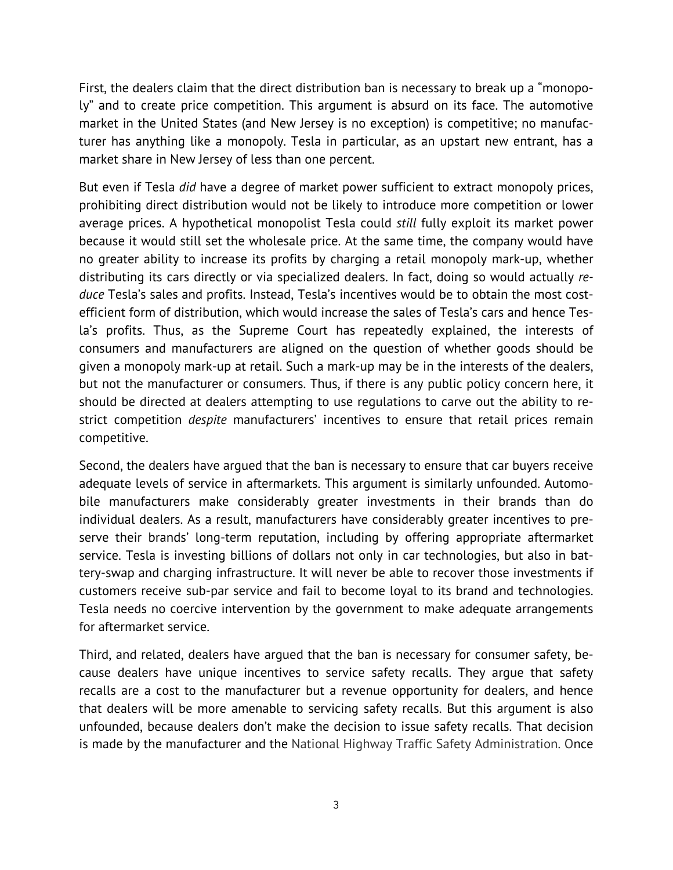First, the dealers claim that the direct distribution ban is necessary to break up a "monopoly" and to create price competition. This argument is absurd on its face. The automotive market in the United States (and New Jersey is no exception) is competitive; no manufacturer has anything like a monopoly. Tesla in particular, as an upstart new entrant, has a market share in New Jersey of less than one percent.

But even if Tesla *did* have a degree of market power sufficient to extract monopoly prices, prohibiting direct distribution would not be likely to introduce more competition or lower average prices. A hypothetical monopolist Tesla could *still* fully exploit its market power because it would still set the wholesale price. At the same time, the company would have no greater ability to increase its profits by charging a retail monopoly mark-up, whether distributing its cars directly or via specialized dealers. In fact, doing so would actually *reduce* Tesla's sales and profits. Instead, Tesla's incentives would be to obtain the most costefficient form of distribution, which would increase the sales of Tesla's cars and hence Tesla's profits. Thus, as the Supreme Court has repeatedly explained, the interests of consumers and manufacturers are aligned on the question of whether goods should be given a monopoly mark-up at retail. Such a mark-up may be in the interests of the dealers, but not the manufacturer or consumers. Thus, if there is any public policy concern here, it should be directed at dealers attempting to use regulations to carve out the ability to restrict competition *despite* manufacturers' incentives to ensure that retail prices remain competitive.

Second, the dealers have argued that the ban is necessary to ensure that car buyers receive adequate levels of service in aftermarkets. This argument is similarly unfounded. Automobile manufacturers make considerably greater investments in their brands than do individual dealers. As a result, manufacturers have considerably greater incentives to preserve their brands' long-term reputation, including by offering appropriate aftermarket service. Tesla is investing billions of dollars not only in car technologies, but also in battery-swap and charging infrastructure. It will never be able to recover those investments if customers receive sub-par service and fail to become loyal to its brand and technologies. Tesla needs no coercive intervention by the government to make adequate arrangements for aftermarket service.

Third, and related, dealers have argued that the ban is necessary for consumer safety, because dealers have unique incentives to service safety recalls. They argue that safety recalls are a cost to the manufacturer but a revenue opportunity for dealers, and hence that dealers will be more amenable to servicing safety recalls. But this argument is also unfounded, because dealers don't make the decision to issue safety recalls. That decision is made by the manufacturer and the National Highway Traffic Safety Administration. Once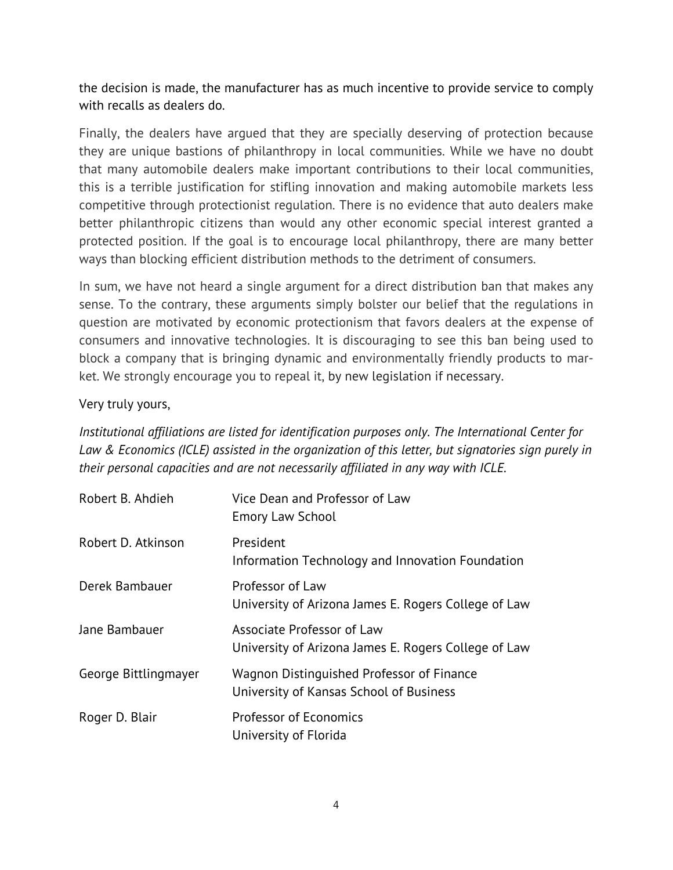the decision is made, the manufacturer has as much incentive to provide service to comply with recalls as dealers do.

Finally, the dealers have argued that they are specially deserving of protection because they are unique bastions of philanthropy in local communities. While we have no doubt that many automobile dealers make important contributions to their local communities, this is a terrible justification for stifling innovation and making automobile markets less competitive through protectionist regulation. There is no evidence that auto dealers make better philanthropic citizens than would any other economic special interest granted a protected position. If the goal is to encourage local philanthropy, there are many better ways than blocking efficient distribution methods to the detriment of consumers.

In sum, we have not heard a single argument for a direct distribution ban that makes any sense. To the contrary, these arguments simply bolster our belief that the regulations in question are motivated by economic protectionism that favors dealers at the expense of consumers and innovative technologies. It is discouraging to see this ban being used to block a company that is bringing dynamic and environmentally friendly products to market. We strongly encourage you to repeal it, by new legislation if necessary.

Very truly yours,

*Institutional affiliations are listed for identification purposes only. The International Center for Law & Economics (ICLE) assisted in the organization of this letter, but signatories sign purely in their personal capacities and are not necessarily affiliated in any way with ICLE.*

| Robert B. Ahdieh     | Vice Dean and Professor of Law<br><b>Emory Law School</b>                            |
|----------------------|--------------------------------------------------------------------------------------|
| Robert D. Atkinson   | President<br>Information Technology and Innovation Foundation                        |
| Derek Bambauer       | Professor of Law<br>University of Arizona James E. Rogers College of Law             |
| Jane Bambauer        | Associate Professor of Law<br>University of Arizona James E. Rogers College of Law   |
| George Bittlingmayer | Wagnon Distinguished Professor of Finance<br>University of Kansas School of Business |
| Roger D. Blair       | <b>Professor of Economics</b><br>University of Florida                               |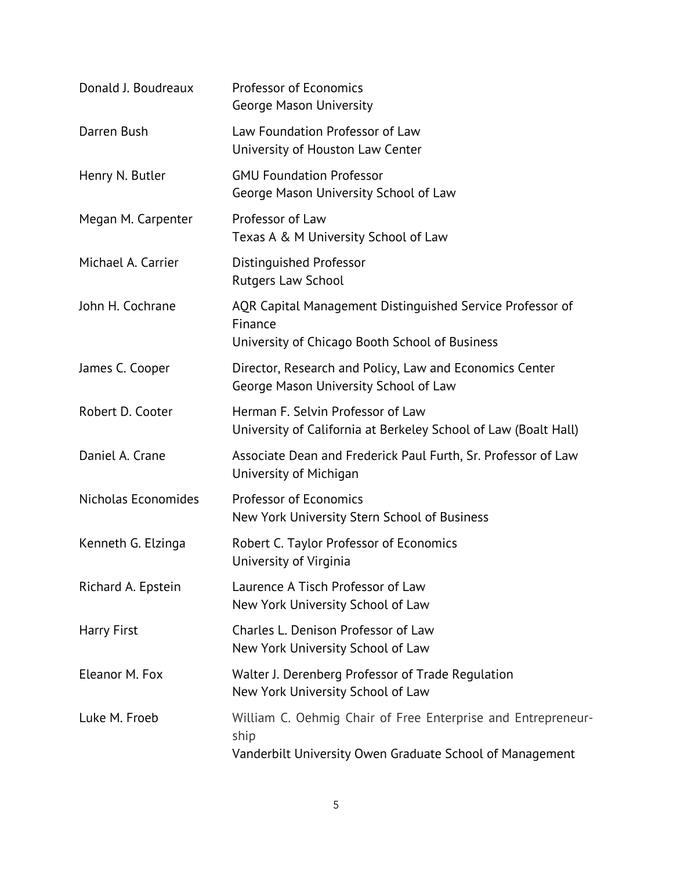| Donald J. Boudreaux | <b>Professor of Economics</b><br><b>George Mason University</b>                                                                  |
|---------------------|----------------------------------------------------------------------------------------------------------------------------------|
| Darren Bush         | Law Foundation Professor of Law<br>University of Houston Law Center                                                              |
| Henry N. Butler     | <b>GMU Foundation Professor</b><br>George Mason University School of Law                                                         |
| Megan M. Carpenter  | Professor of Law<br>Texas A & M University School of Law                                                                         |
| Michael A. Carrier  | Distinguished Professor<br><b>Rutgers Law School</b>                                                                             |
| John H. Cochrane    | AQR Capital Management Distinguished Service Professor of<br>Finance<br>University of Chicago Booth School of Business           |
| James C. Cooper     | Director, Research and Policy, Law and Economics Center<br>George Mason University School of Law                                 |
| Robert D. Cooter    | Herman F. Selvin Professor of Law<br>University of California at Berkeley School of Law (Boalt Hall)                             |
| Daniel A. Crane     | Associate Dean and Frederick Paul Furth, Sr. Professor of Law<br>University of Michigan                                          |
| Nicholas Economides | <b>Professor of Economics</b><br>New York University Stern School of Business                                                    |
| Kenneth G. Elzinga  | Robert C. Taylor Professor of Economics<br>University of Virginia                                                                |
| Richard A. Epstein  | Laurence A Tisch Professor of Law<br>New York University School of Law                                                           |
| <b>Harry First</b>  | Charles L. Denison Professor of Law<br>New York University School of Law                                                         |
| Eleanor M. Fox      | Walter J. Derenberg Professor of Trade Regulation<br>New York University School of Law                                           |
| Luke M. Froeb       | William C. Oehmig Chair of Free Enterprise and Entrepreneur-<br>ship<br>Vanderbilt University Owen Graduate School of Management |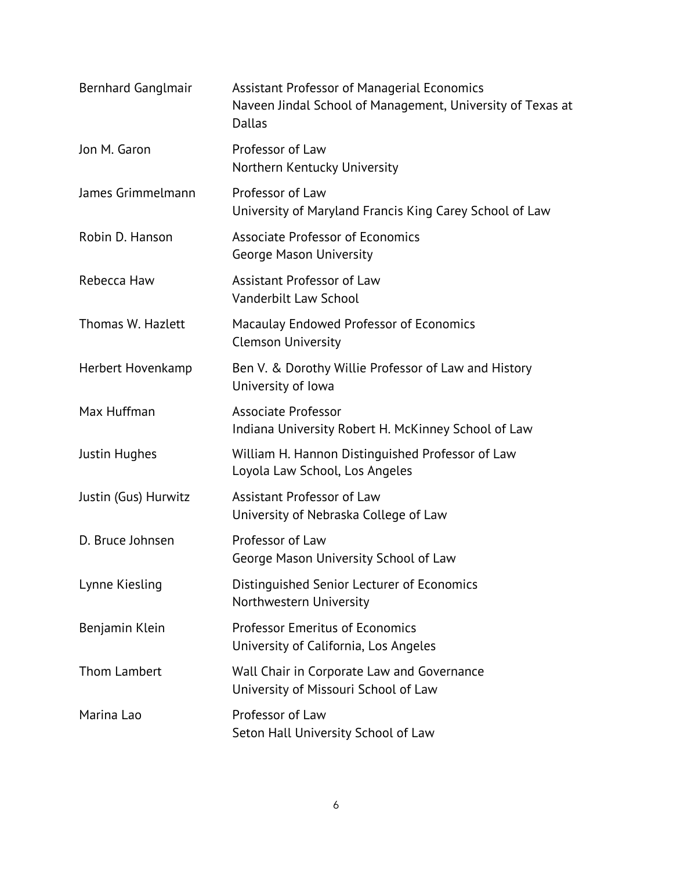| Bernhard Ganglmair   | Assistant Professor of Managerial Economics<br>Naveen Jindal School of Management, University of Texas at<br>Dallas |
|----------------------|---------------------------------------------------------------------------------------------------------------------|
| Jon M. Garon         | Professor of Law<br>Northern Kentucky University                                                                    |
| James Grimmelmann    | Professor of Law<br>University of Maryland Francis King Carey School of Law                                         |
| Robin D. Hanson      | Associate Professor of Economics<br>George Mason University                                                         |
| Rebecca Haw          | Assistant Professor of Law<br>Vanderbilt Law School                                                                 |
| Thomas W. Hazlett    | Macaulay Endowed Professor of Economics<br><b>Clemson University</b>                                                |
| Herbert Hovenkamp    | Ben V. & Dorothy Willie Professor of Law and History<br>University of Iowa                                          |
| Max Huffman          | <b>Associate Professor</b><br>Indiana University Robert H. McKinney School of Law                                   |
| Justin Hughes        | William H. Hannon Distinguished Professor of Law<br>Loyola Law School, Los Angeles                                  |
| Justin (Gus) Hurwitz | Assistant Professor of Law<br>University of Nebraska College of Law                                                 |
| D. Bruce Johnsen     | Professor of Law<br>George Mason University School of Law                                                           |
| Lynne Kiesling       | Distinguished Senior Lecturer of Economics<br>Northwestern University                                               |
| Benjamin Klein       | <b>Professor Emeritus of Economics</b><br>University of California, Los Angeles                                     |
| <b>Thom Lambert</b>  | Wall Chair in Corporate Law and Governance<br>University of Missouri School of Law                                  |
| Marina Lao           | Professor of Law<br>Seton Hall University School of Law                                                             |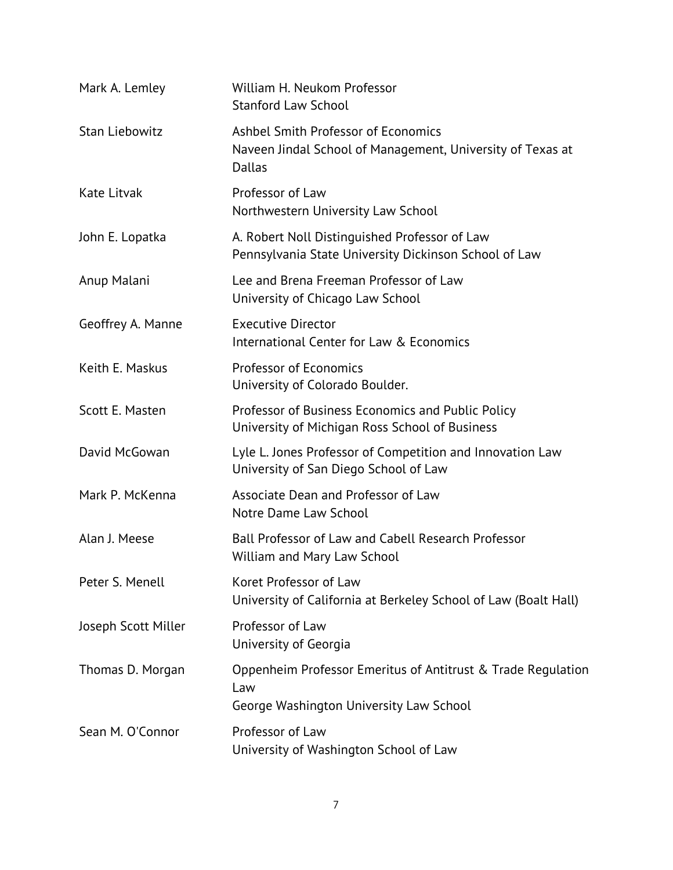| Mark A. Lemley        | William H. Neukom Professor<br><b>Stanford Law School</b>                                                      |
|-----------------------|----------------------------------------------------------------------------------------------------------------|
| <b>Stan Liebowitz</b> | Ashbel Smith Professor of Economics<br>Naveen Jindal School of Management, University of Texas at<br>Dallas    |
| Kate Litvak           | Professor of Law<br>Northwestern University Law School                                                         |
| John E. Lopatka       | A. Robert Noll Distinguished Professor of Law<br>Pennsylvania State University Dickinson School of Law         |
| Anup Malani           | Lee and Brena Freeman Professor of Law<br>University of Chicago Law School                                     |
| Geoffrey A. Manne     | <b>Executive Director</b><br>International Center for Law & Economics                                          |
| Keith E. Maskus       | Professor of Economics<br>University of Colorado Boulder.                                                      |
| Scott E. Masten       | Professor of Business Economics and Public Policy<br>University of Michigan Ross School of Business            |
| David McGowan         | Lyle L. Jones Professor of Competition and Innovation Law<br>University of San Diego School of Law             |
| Mark P. McKenna       | Associate Dean and Professor of Law<br>Notre Dame Law School                                                   |
| Alan J. Meese         | Ball Professor of Law and Cabell Research Professor<br>William and Mary Law School                             |
| Peter S. Menell       | Koret Professor of Law<br>University of California at Berkeley School of Law (Boalt Hall)                      |
| Joseph Scott Miller   | Professor of Law<br>University of Georgia                                                                      |
| Thomas D. Morgan      | Oppenheim Professor Emeritus of Antitrust & Trade Regulation<br>Law<br>George Washington University Law School |
| Sean M. O'Connor      | Professor of Law<br>University of Washington School of Law                                                     |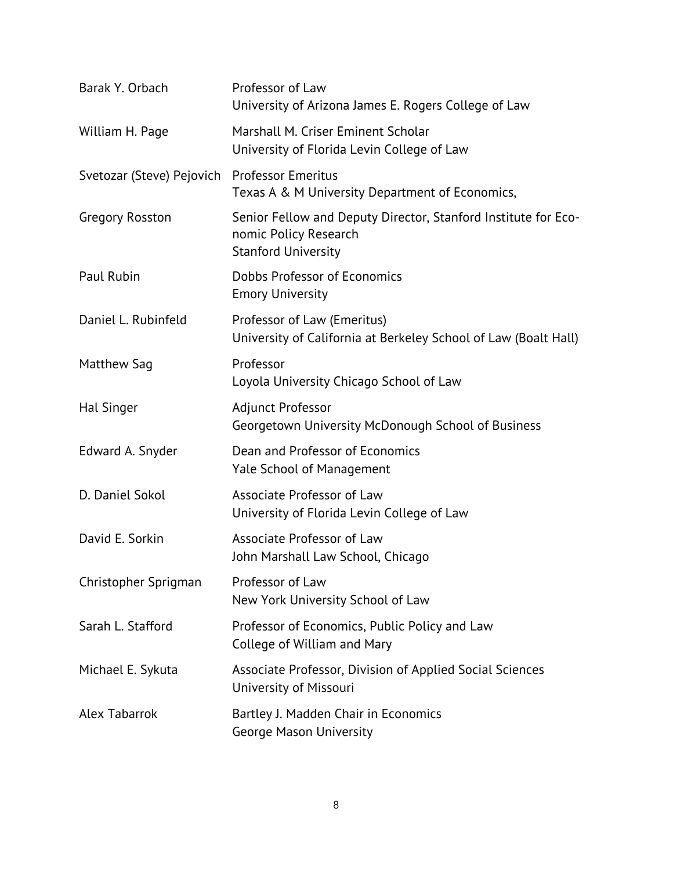| Barak Y. Orbach           | Professor of Law<br>University of Arizona James E. Rogers College of Law                                              |
|---------------------------|-----------------------------------------------------------------------------------------------------------------------|
| William H. Page           | Marshall M. Criser Eminent Scholar<br>University of Florida Levin College of Law                                      |
| Svetozar (Steve) Pejovich | <b>Professor Emeritus</b><br>Texas A & M University Department of Economics,                                          |
| Gregory Rosston           | Senior Fellow and Deputy Director, Stanford Institute for Eco-<br>nomic Policy Research<br><b>Stanford University</b> |
| Paul Rubin                | Dobbs Professor of Economics<br><b>Emory University</b>                                                               |
| Daniel L. Rubinfeld       | Professor of Law (Emeritus)<br>University of California at Berkeley School of Law (Boalt Hall)                        |
| Matthew Sag               | Professor<br>Loyola University Chicago School of Law                                                                  |
| <b>Hal Singer</b>         | Adjunct Professor<br>Georgetown University McDonough School of Business                                               |
| Edward A. Snyder          | Dean and Professor of Economics<br><b>Yale School of Management</b>                                                   |
| D. Daniel Sokol           | Associate Professor of Law<br>University of Florida Levin College of Law                                              |
| David E. Sorkin           | Associate Professor of Law<br>John Marshall Law School, Chicago                                                       |
| Christopher Sprigman      | Professor of Law<br>New York University School of Law                                                                 |
| Sarah L. Stafford         | Professor of Economics, Public Policy and Law<br>College of William and Mary                                          |
| Michael E. Sykuta         | Associate Professor, Division of Applied Social Sciences<br>University of Missouri                                    |
| <b>Alex Tabarrok</b>      | Bartley J. Madden Chair in Economics<br>George Mason University                                                       |